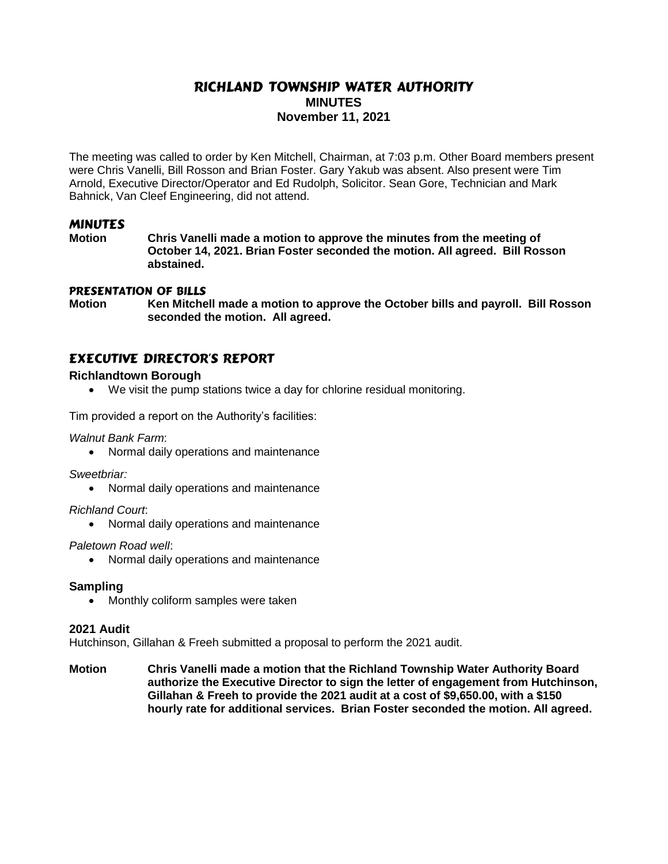# RICHLAND TOWNSHIP WATER AUTHORITY **MINUTES November 11, 2021**

The meeting was called to order by Ken Mitchell, Chairman, at 7:03 p.m. Other Board members present were Chris Vanelli, Bill Rosson and Brian Foster. Gary Yakub was absent. Also present were Tim Arnold, Executive Director/Operator and Ed Rudolph, Solicitor. Sean Gore, Technician and Mark Bahnick, Van Cleef Engineering, did not attend.

# MINUTES

**Motion Chris Vanelli made a motion to approve the minutes from the meeting of October 14, 2021. Brian Foster seconded the motion. All agreed. Bill Rosson abstained.**

## pRESENTATION OF BILLS

**Motion Ken Mitchell made a motion to approve the October bills and payroll. Bill Rosson seconded the motion. All agreed.**

# EXECUTIVE DIRECTOR'S REPORT

## **Richlandtown Borough**

We visit the pump stations twice a day for chlorine residual monitoring.

Tim provided a report on the Authority's facilities:

*Walnut Bank Farm*:

Normal daily operations and maintenance

*Sweetbriar:* 

Normal daily operations and maintenance

*Richland Court*:

Normal daily operations and maintenance

*Paletown Road well*:

Normal daily operations and maintenance

### **Sampling**

• Monthly coliform samples were taken

### **2021 Audit**

Hutchinson, Gillahan & Freeh submitted a proposal to perform the 2021 audit.

**Motion Chris Vanelli made a motion that the Richland Township Water Authority Board authorize the Executive Director to sign the letter of engagement from Hutchinson, Gillahan & Freeh to provide the 2021 audit at a cost of \$9,650.00, with a \$150 hourly rate for additional services. Brian Foster seconded the motion. All agreed.**